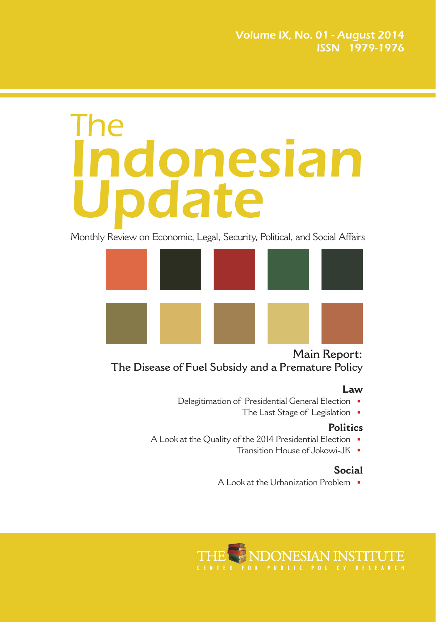# The **indonesian**<br>Update

Monthly Review on Economic, Legal, Security, Political, and Social Affairs



**Main Report: The Disease of Fuel Subsidy and a Premature Policy**

#### **Law**

- Delegitimation of Presidential General Election
	- The Last Stage of Legislation

#### **Politics**

- A Look at the Quality of the 2014 Presidential Election
	- Transition House of Jokowi-JK

### **Social**

A Look at the Urbanization Problem

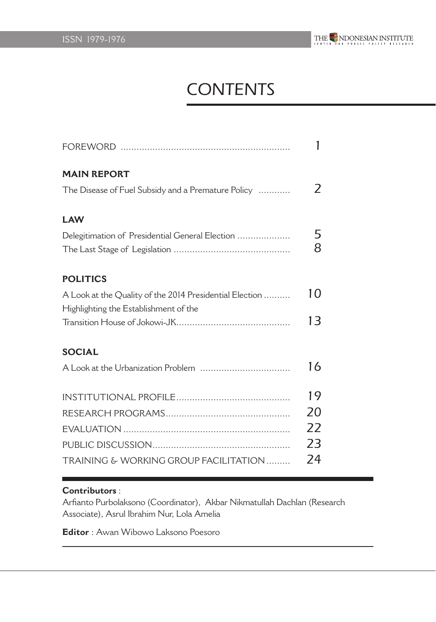

# **CONTENTS**

| <b>MAIN REPORT</b>                                      |                             |
|---------------------------------------------------------|-----------------------------|
| The Disease of Fuel Subsidy and a Premature Policy      | $\mathcal{L}_{\mathcal{L}}$ |
| <b>LAW</b>                                              |                             |
| Delegitimation of Presidential General Election         | 5                           |
|                                                         | 8                           |
| <b>POLITICS</b>                                         |                             |
| A Look at the Quality of the 2014 Presidential Election | 10                          |
| Highlighting the Establishment of the                   |                             |
|                                                         | 13                          |
| <b>SOCIAL</b>                                           |                             |
|                                                         | 16                          |
|                                                         | 19                          |
|                                                         | 20                          |
|                                                         | 22                          |
|                                                         | 23                          |
| TRAINING & WORKING GROUP FACILITATION                   | 24                          |

#### **Contributors** :

Arfianto Purbolaksono (Coordinator), Akbar Nikmatullah Dachlan (Research Associate), Asrul Ibrahim Nur, Lola Amelia

**Editor** : Awan Wibowo Laksono Poesoro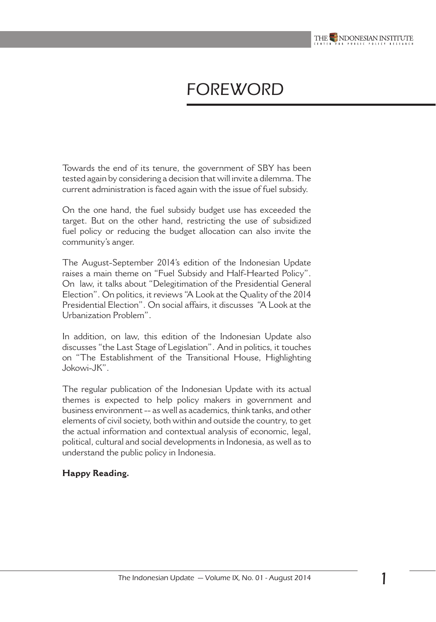

# **FOREWORD**

Towards the end of its tenure, the government of SBY has been tested again by considering a decision that will invite a dilemma. The current administration is faced again with the issue of fuel subsidy.

On the one hand, the fuel subsidy budget use has exceeded the target. But on the other hand, restricting the use of subsidized fuel policy or reducing the budget allocation can also invite the community's anger.

The August-September 2014's edition of the Indonesian Update raises a main theme on "Fuel Subsidy and Half-Hearted Policy". On law, it talks about "Delegitimation of the Presidential General Election". On politics, it reviews "A Look at the Quality of the 2014 Presidential Election". On social affairs, it discusses "A Look at the Urbanization Problem".

In addition, on law, this edition of the Indonesian Update also discusses "the Last Stage of Legislation". And in politics, it touches on "The Establishment of the Transitional House, Highlighting Jokowi-JK".

The regular publication of the Indonesian Update with its actual themes is expected to help policy makers in government and business environment -- as well as academics, think tanks, and other elements of civil society, both within and outside the country, to get the actual information and contextual analysis of economic, legal, political, cultural and social developments in Indonesia, as well as to understand the public policy in Indonesia.

#### **Happy Reading.**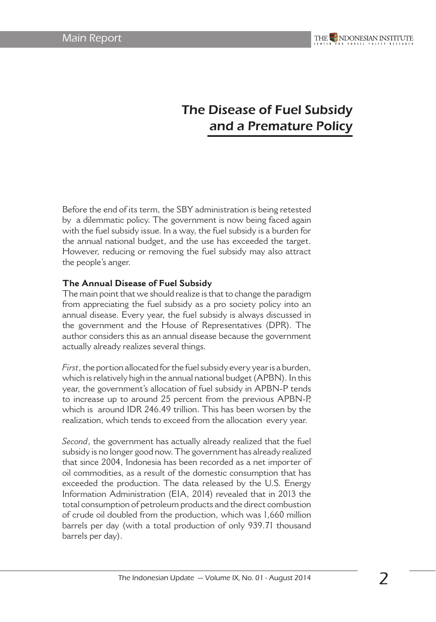# The Disease of Fuel Subsidy and a Premature Policy

Before the end of its term, the SBY administration is being retested by a dilemmatic policy. The government is now being faced again with the fuel subsidy issue. In a way, the fuel subsidy is a burden for the annual national budget, and the use has exceeded the target. However, reducing or removing the fuel subsidy may also attract the people's anger.

#### **The Annual Disease of Fuel Subsidy**

The main point that we should realize is that to change the paradigm from appreciating the fuel subsidy as a pro society policy into an annual disease. Every year, the fuel subsidy is always discussed in the government and the House of Representatives (DPR). The author considers this as an annual disease because the government actually already realizes several things.

*First*, the portion allocated for the fuel subsidy every year is a burden, which is relatively high in the annual national budget (APBN). In this year, the government's allocation of fuel subsidy in APBN-P tends to increase up to around 25 percent from the previous APBN-P, which is around IDR 246.49 trillion. This has been worsen by the realization, which tends to exceed from the allocation every year.

*Second*, the government has actually already realized that the fuel subsidy is no longer good now. The government has already realized that since 2004, Indonesia has been recorded as a net importer of oil commodities, as a result of the domestic consumption that has exceeded the production. The data released by the U.S. Energy Information Administration (EIA, 2014) revealed that in 2013 the total consumption of petroleum products and the direct combustion of crude oil doubled from the production, which was 1,660 million barrels per day (with a total production of only 939.71 thousand barrels per day).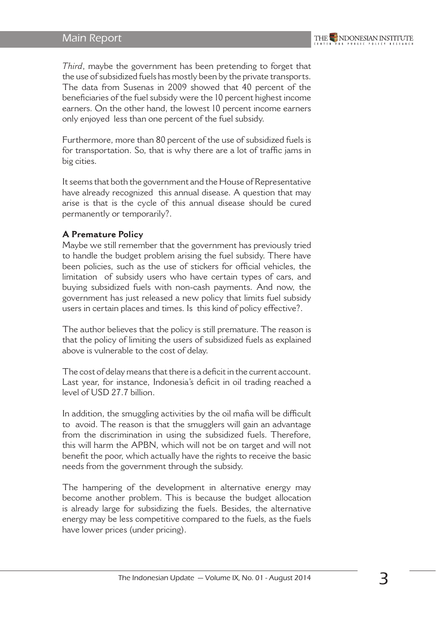#### Main Report

*Third*, maybe the government has been pretending to forget that the use of subsidized fuels has mostly been by the private transports. The data from Susenas in 2009 showed that 40 percent of the beneficiaries of the fuel subsidy were the 10 percent highest income earners. On the other hand, the lowest 10 percent income earners only enjoyed less than one percent of the fuel subsidy.

Furthermore, more than 80 percent of the use of subsidized fuels is for transportation. So, that is why there are a lot of traffic jams in big cities.

It seems that both the government and the House of Representative have already recognized this annual disease. A question that may arise is that is the cycle of this annual disease should be cured permanently or temporarily?.

#### **A Premature Policy**

Maybe we still remember that the government has previously tried to handle the budget problem arising the fuel subsidy. There have been policies, such as the use of stickers for official vehicles, the limitation of subsidy users who have certain types of cars, and buying subsidized fuels with non-cash payments. And now, the government has just released a new policy that limits fuel subsidy users in certain places and times. Is this kind of policy effective?.

The author believes that the policy is still premature. The reason is that the policy of limiting the users of subsidized fuels as explained above is vulnerable to the cost of delay.

The cost of delay means that there is a deficit in the current account. Last year, for instance, Indonesia's deficit in oil trading reached a level of USD 27.7 billion.

In addition, the smuggling activities by the oil mafia will be difficult to avoid. The reason is that the smugglers will gain an advantage from the discrimination in using the subsidized fuels. Therefore, this will harm the APBN, which will not be on target and will not benefit the poor, which actually have the rights to receive the basic needs from the government through the subsidy.

The hampering of the development in alternative energy may become another problem. This is because the budget allocation is already large for subsidizing the fuels. Besides, the alternative energy may be less competitive compared to the fuels, as the fuels have lower prices (under pricing).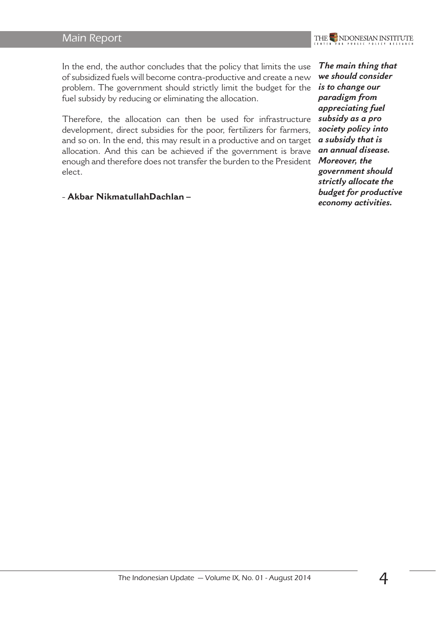#### Main Report

In the end, the author concludes that the policy that limits the use of subsidized fuels will become contra-productive and create a new problem. The government should strictly limit the budget for the fuel subsidy by reducing or eliminating the allocation.

Therefore, the allocation can then be used for infrastructure development, direct subsidies for the poor, fertilizers for farmers, and so on. In the end, this may result in a productive and on target allocation. And this can be achieved if the government is brave enough and therefore does not transfer the burden to the President *Moreover, the*  elect.

- **Akbar NikmatullahDachlan –** 

*The main thing that we should consider is to change our paradigm from appreciating fuel subsidy as a pro society policy into a subsidy that is an annual disease. government should strictly allocate the budget for productive economy activities.*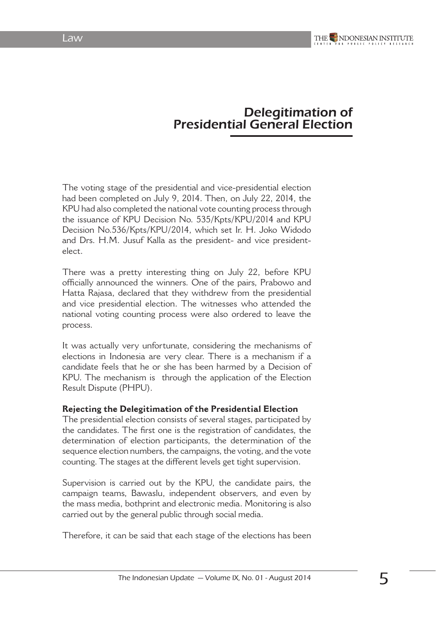# Delegitimation of Presidential General Election

The voting stage of the presidential and vice-presidential election had been completed on July 9, 2014. Then, on July 22, 2014, the KPU had also completed the national vote counting process through the issuance of KPU Decision No. 535/Kpts/KPU/2014 and KPU Decision No.536/Kpts/KPU/2014, which set Ir. H. Joko Widodo and Drs. H.M. Jusuf Kalla as the president- and vice presidentelect.

There was a pretty interesting thing on July 22, before KPU officially announced the winners. One of the pairs, Prabowo and Hatta Rajasa, declared that they withdrew from the presidential and vice presidential election. The witnesses who attended the national voting counting process were also ordered to leave the process.

It was actually very unfortunate, considering the mechanisms of elections in Indonesia are very clear. There is a mechanism if a candidate feels that he or she has been harmed by a Decision of KPU. The mechanism is through the application of the Election Result Dispute (PHPU).

#### **Rejecting the Delegitimation of the Presidential Election**

The presidential election consists of several stages, participated by the candidates. The first one is the registration of candidates, the determination of election participants, the determination of the sequence election numbers, the campaigns, the voting, and the vote counting. The stages at the different levels get tight supervision.

Supervision is carried out by the KPU, the candidate pairs, the campaign teams, Bawaslu, independent observers, and even by the mass media, bothprint and electronic media. Monitoring is also carried out by the general public through social media.

Therefore, it can be said that each stage of the elections has been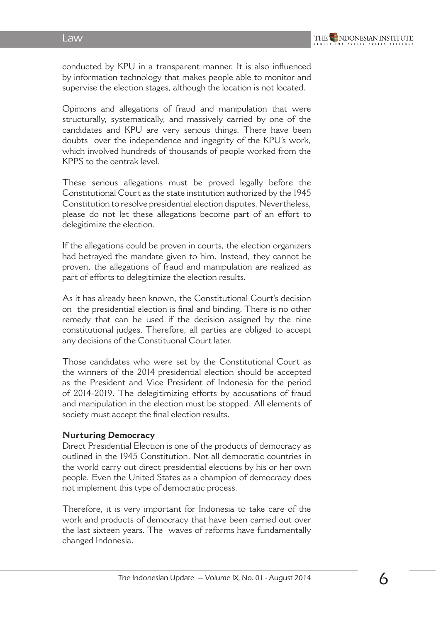conducted by KPU in a transparent manner. It is also influenced by information technology that makes people able to monitor and supervise the election stages, although the location is not located.

Opinions and allegations of fraud and manipulation that were structurally, systematically, and massively carried by one of the candidates and KPU are very serious things. There have been doubts over the independence and ingegrity of the KPU's work, which involved hundreds of thousands of people worked from the KPPS to the centrak level.

These serious allegations must be proved legally before the Constitutional Court as the state institution authorized by the 1945 Constitution to resolve presidential election disputes. Nevertheless, please do not let these allegations become part of an effort to delegitimize the election.

If the allegations could be proven in courts, the election organizers had betrayed the mandate given to him. Instead, they cannot be proven, the allegations of fraud and manipulation are realized as part of efforts to delegitimize the election results.

As it has already been known, the Constitutional Court's decision on the presidential election is final and binding. There is no other remedy that can be used if the decision assigned by the nine constitutional judges. Therefore, all parties are obliged to accept any decisions of the Constituonal Court later.

Those candidates who were set by the Constitutional Court as the winners of the 2014 presidential election should be accepted as the President and Vice President of Indonesia for the period of 2014-2019. The delegitimizing efforts by accusations of fraud and manipulation in the election must be stopped. All elements of society must accept the final election results.

#### **Nurturing Democracy**

Direct Presidential Election is one of the products of democracy as outlined in the 1945 Constitution. Not all democratic countries in the world carry out direct presidential elections by his or her own people. Even the United States as a champion of democracy does not implement this type of democratic process.

Therefore, it is very important for Indonesia to take care of the work and products of democracy that have been carried out over the last sixteen years. The waves of reforms have fundamentally changed Indonesia.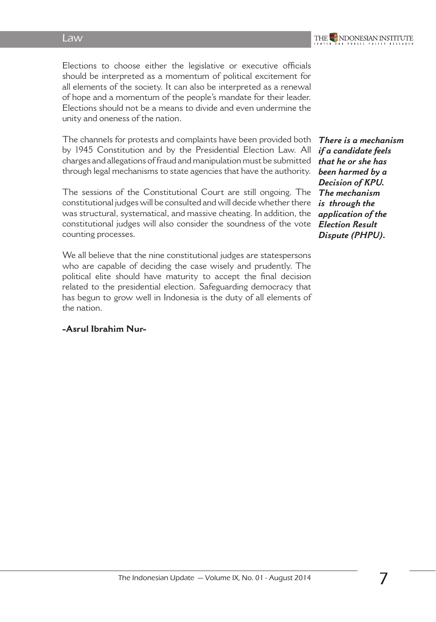Elections to choose either the legislative or executive officials should be interpreted as a momentum of political excitement for all elements of the society. It can also be interpreted as a renewal of hope and a momentum of the people's mandate for their leader. Elections should not be a means to divide and even undermine the unity and oneness of the nation.

The channels for protests and complaints have been provided both by 1945 Constitution and by the Presidential Election Law. All charges and allegations of fraud and manipulation must be submitted through legal mechanisms to state agencies that have the authority.

The sessions of the Constitutional Court are still ongoing. The constitutional judges will be consulted and will decide whether there was structural, systematical, and massive cheating. In addition, the constitutional judges will also consider the soundness of the vote counting processes.

We all believe that the nine constitutional judges are statespersons who are capable of deciding the case wisely and prudently. The political elite should have maturity to accept the final decision related to the presidential election. Safeguarding democracy that has begun to grow well in Indonesia is the duty of all elements of the nation.

# **-Asrul Ibrahim Nur-**

*There is a mechanism if a candidate feels that he or she has been harmed by a Decision of KPU. The mechanism is through the application of the Election Result Dispute (PHPU).*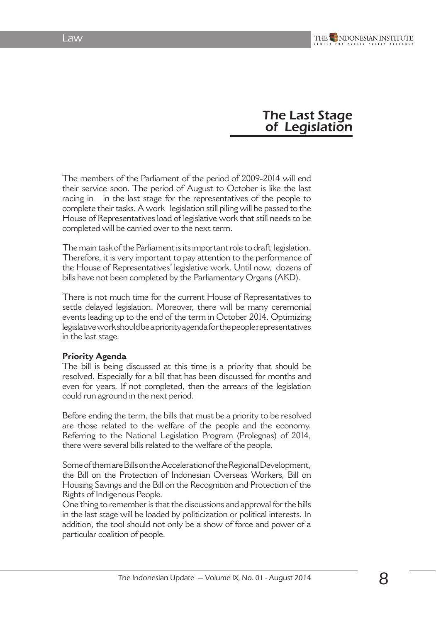## The Last Stage of Legislation

The members of the Parliament of the period of 2009-2014 will end their service soon. The period of August to October is like the last racing in in the last stage for the representatives of the people to complete their tasks. A work legislation still piling will be passed to the House of Representatives load of legislative work that still needs to be completed will be carried over to the next term.

The main task of the Parliament is its important role to draft legislation. Therefore, it is very important to pay attention to the performance of the House of Representatives' legislative work. Until now, dozens of bills have not been completed by the Parliamentary Organs (AKD).

There is not much time for the current House of Representatives to settle delayed legislation. Moreover, there will be many ceremonial events leading up to the end of the term in October 2014. Optimizing legislative work should be a priority agenda for the people representatives in the last stage.

#### **Priority Agenda**

The bill is being discussed at this time is a priority that should be resolved. Especially for a bill that has been discussed for months and even for years. If not completed, then the arrears of the legislation could run aground in the next period.

Before ending the term, the bills that must be a priority to be resolved are those related to the welfare of the people and the economy. Referring to the National Legislation Program (Prolegnas) of 2014, there were several bills related to the welfare of the people.

Some of them are Bills on the Acceleration of the Regional Development, the Bill on the Protection of Indonesian Overseas Workers, Bill on Housing Savings and the Bill on the Recognition and Protection of the Rights of Indigenous People.

One thing to remember is that the discussions and approval for the bills in the last stage will be loaded by politicization or political interests. In addition, the tool should not only be a show of force and power of a particular coalition of people.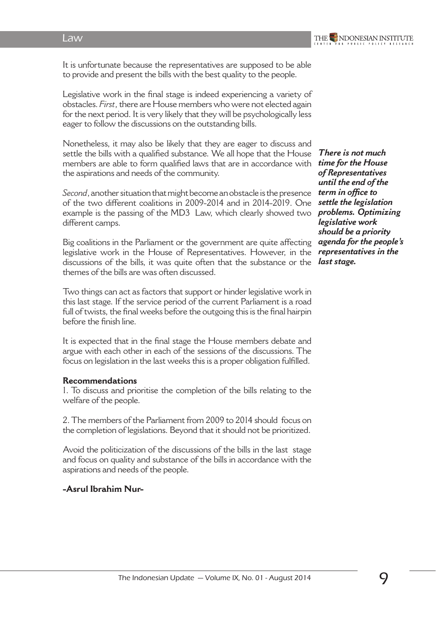It is unfortunate because the representatives are supposed to be able to provide and present the bills with the best quality to the people.

Legislative work in the final stage is indeed experiencing a variety of obstacles. *First*, there are House members who were not elected again for the next period. It is very likely that they will be psychologically less eager to follow the discussions on the outstanding bills.

Nonetheless, it may also be likely that they are eager to discuss and settle the bills with a qualified substance. We all hope that the House members are able to form qualified laws that are in accordance with the aspirations and needs of the community.

*Second*, another situation that might become an obstacle is the presence of the two different coalitions in 2009-2014 and in 2014-2019. One example is the passing of the MD3 Law, which clearly showed two different camps.

Big coalitions in the Parliament or the government are quite affecting legislative work in the House of Representatives. However, in the discussions of the bills, it was quite often that the substance or the themes of the bills are was often discussed.

Two things can act as factors that support or hinder legislative work in this last stage. If the service period of the current Parliament is a road full of twists, the final weeks before the outgoing this is the final hairpin before the finish line.

It is expected that in the final stage the House members debate and argue with each other in each of the sessions of the discussions. The focus on legislation in the last weeks this is a proper obligation fulfilled.

#### **Recommendations**

1. To discuss and prioritise the completion of the bills relating to the welfare of the people.

2. The members of the Parliament from 2009 to 2014 should focus on the completion of legislations. Beyond that it should not be prioritized.

Avoid the politicization of the discussions of the bills in the last stage and focus on quality and substance of the bills in accordance with the aspirations and needs of the people.

#### **-Asrul Ibrahim Nur-**

*There is not much time for the House of Representatives until the end of the term in office to settle the legislation problems. Optimizing legislative work should be a priority agenda for the people's representatives in the last stage.*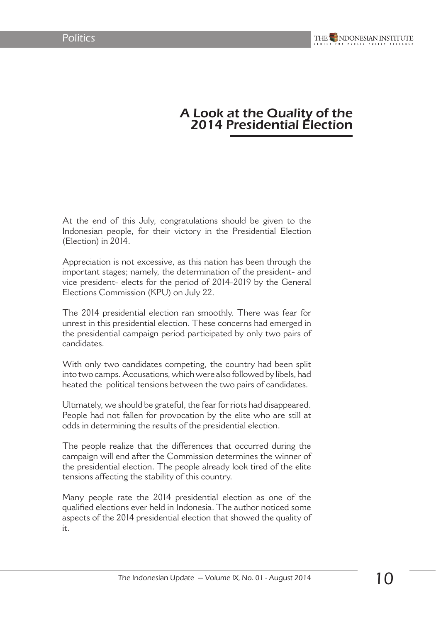## A Look at the Quality of the 2014 Presidential Election

At the end of this July, congratulations should be given to the Indonesian people, for their victory in the Presidential Election (Election) in 2014.

Appreciation is not excessive, as this nation has been through the important stages; namely, the determination of the president- and vice president- elects for the period of 2014-2019 by the General Elections Commission (KPU) on July 22.

The 2014 presidential election ran smoothly. There was fear for unrest in this presidential election. These concerns had emerged in the presidential campaign period participated by only two pairs of candidates.

With only two candidates competing, the country had been split into two camps. Accusations, which were also followed by libels, had heated the political tensions between the two pairs of candidates.

Ultimately, we should be grateful, the fear for riots had disappeared. People had not fallen for provocation by the elite who are still at odds in determining the results of the presidential election.

The people realize that the differences that occurred during the campaign will end after the Commission determines the winner of the presidential election. The people already look tired of the elite tensions affecting the stability of this country.

Many people rate the 2014 presidential election as one of the qualified elections ever held in Indonesia. The author noticed some aspects of the 2014 presidential election that showed the quality of it.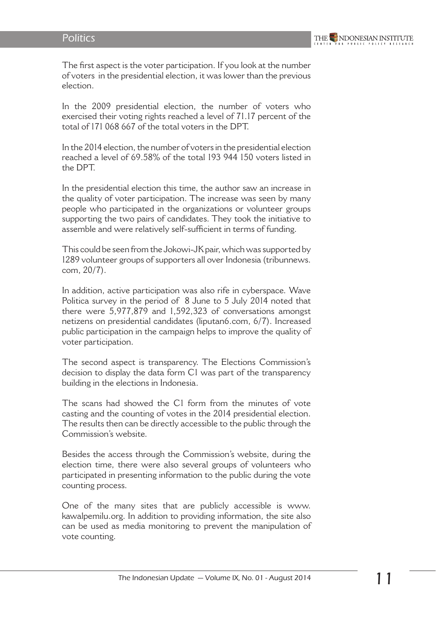The first aspect is the voter participation. If you look at the number of voters in the presidential election, it was lower than the previous election.

In the 2009 presidential election, the number of voters who exercised their voting rights reached a level of 71.17 percent of the total of 171 068 667 of the total voters in the DPT.

In the 2014 election, the number of voters in the presidential election reached a level of 69.58% of the total 193 944 150 voters listed in the DPT.

In the presidential election this time, the author saw an increase in the quality of voter participation. The increase was seen by many people who participated in the organizations or volunteer groups supporting the two pairs of candidates. They took the initiative to assemble and were relatively self-sufficient in terms of funding.

This could be seen from the Jokowi-JK pair, which was supported by 1289 volunteer groups of supporters all over Indonesia (tribunnews. com, 20/7).

In addition, active participation was also rife in cyberspace. Wave Politica survey in the period of 8 June to 5 July 2014 noted that there were 5,977,879 and 1,592,323 of conversations amongst netizens on presidential candidates (liputan6.com, 6/7). Increased public participation in the campaign helps to improve the quality of voter participation.

The second aspect is transparency. The Elections Commission's decision to display the data form C1 was part of the transparency building in the elections in Indonesia.

The scans had showed the C1 form from the minutes of vote casting and the counting of votes in the 2014 presidential election. The results then can be directly accessible to the public through the Commission's website.

Besides the access through the Commission's website, during the election time, there were also several groups of volunteers who participated in presenting information to the public during the vote counting process.

One of the many sites that are publicly accessible is www. kawalpemilu.org. In addition to providing information, the site also can be used as media monitoring to prevent the manipulation of vote counting.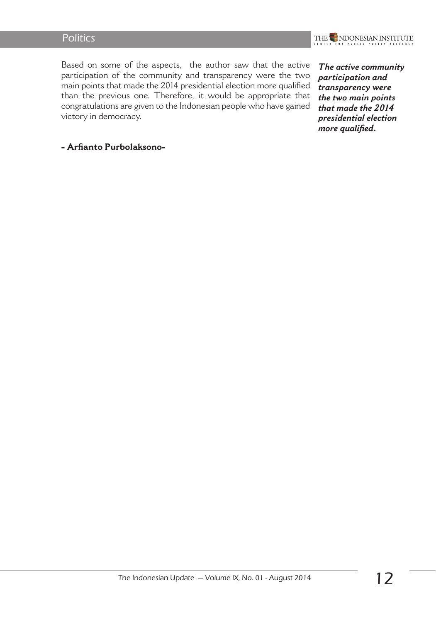#### **Politics**



Based on some of the aspects, the author saw that the active participation of the community and transparency were the two main points that made the 2014 presidential election more qualified than the previous one. Therefore, it would be appropriate that congratulations are given to the Indonesian people who have gained victory in democracy.

*The active community participation and transparency were the two main points that made the 2014 presidential election more qualified.*

#### **- Arfianto Purbolaksono-**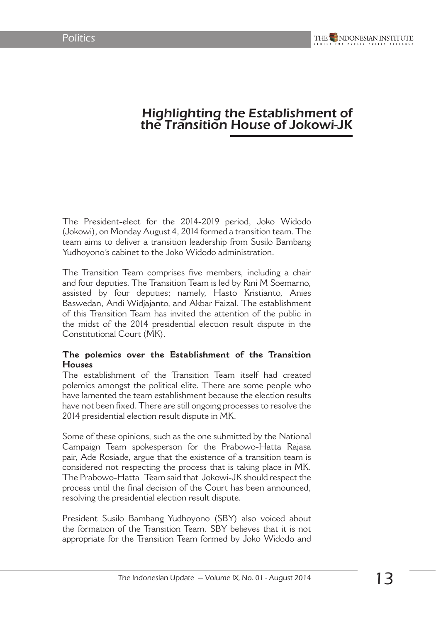## Highlighting the Establishment of the Transition House of Jokowi-JK

The President-elect for the 2014-2019 period, Joko Widodo (Jokowi), on Monday August 4, 2014 formed a transition team. The team aims to deliver a transition leadership from Susilo Bambang Yudhoyono's cabinet to the Joko Widodo administration.

The Transition Team comprises five members, including a chair and four deputies. The Transition Team is led by Rini M Soemarno, assisted by four deputies; namely, Hasto Kristianto, Anies Baswedan, Andi Widjajanto, and Akbar Faizal. The establishment of this Transition Team has invited the attention of the public in the midst of the 2014 presidential election result dispute in the Constitutional Court (MK).

#### **The polemics over the Establishment of the Transition Houses**

The establishment of the Transition Team itself had created polemics amongst the political elite. There are some people who have lamented the team establishment because the election results have not been fixed. There are still ongoing processes to resolve the 2014 presidential election result dispute in MK.

Some of these opinions, such as the one submitted by the National Campaign Team spokesperson for the Prabowo-Hatta Rajasa pair, Ade Rosiade, argue that the existence of a transition team is considered not respecting the process that is taking place in MK. The Prabowo-Hatta Team said that Jokowi-JK should respect the process until the final decision of the Court has been announced, resolving the presidential election result dispute.

President Susilo Bambang Yudhoyono (SBY) also voiced about the formation of the Transition Team. SBY believes that it is not appropriate for the Transition Team formed by Joko Widodo and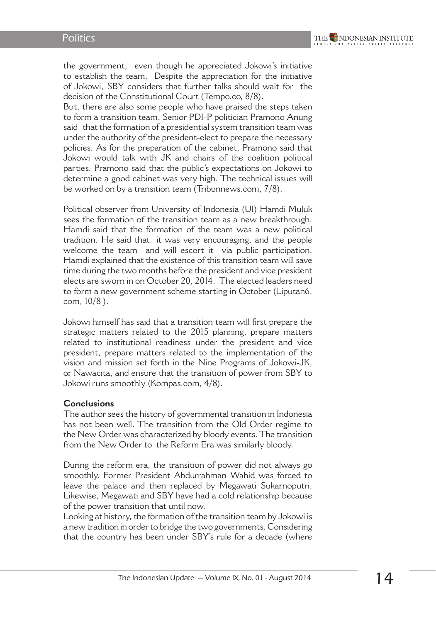the government, even though he appreciated Jokowi's initiative to establish the team. Despite the appreciation for the initiative of Jokowi, SBY considers that further talks should wait for the decision of the Constitutional Court (Tempo.co, 8/8).

But, there are also some people who have praised the steps taken to form a transition team. Senior PDI-P politician Pramono Anung said that the formation of a presidential system transition team was under the authority of the president-elect to prepare the necessary policies. As for the preparation of the cabinet, Pramono said that Jokowi would talk with JK and chairs of the coalition political parties. Pramono said that the public's expectations on Jokowi to determine a good cabinet was very high. The technical issues will be worked on by a transition team (Tribunnews.com, 7/8).

Political observer from University of Indonesia (UI) Hamdi Muluk sees the formation of the transition team as a new breakthrough. Hamdi said that the formation of the team was a new political tradition. He said that it was very encouraging, and the people welcome the team and will escort it via public participation. Hamdi explained that the existence of this transition team will save time during the two months before the president and vice president elects are sworn in on October 20, 2014. The elected leaders need to form a new government scheme starting in October (Liputan6. com, 10/8 ).

Jokowi himself has said that a transition team will first prepare the strategic matters related to the 2015 planning, prepare matters related to institutional readiness under the president and vice president, prepare matters related to the implementation of the vision and mission set forth in the Nine Programs of Jokowi-JK, or Nawacita, and ensure that the transition of power from SBY to Jokowi runs smoothly (Kompas.com, 4/8).

#### **Conclusions**

The author sees the history of governmental transition in Indonesia has not been well. The transition from the Old Order regime to the New Order was characterized by bloody events. The transition from the New Order to the Reform Era was similarly bloody.

During the reform era, the transition of power did not always go smoothly. Former President Abdurrahman Wahid was forced to leave the palace and then replaced by Megawati Sukarnoputri. Likewise, Megawati and SBY have had a cold relationship because of the power transition that until now.

Looking at history, the formation of the transition team by Jokowi is a new tradition in order to bridge the two governments. Considering that the country has been under SBY's rule for a decade (where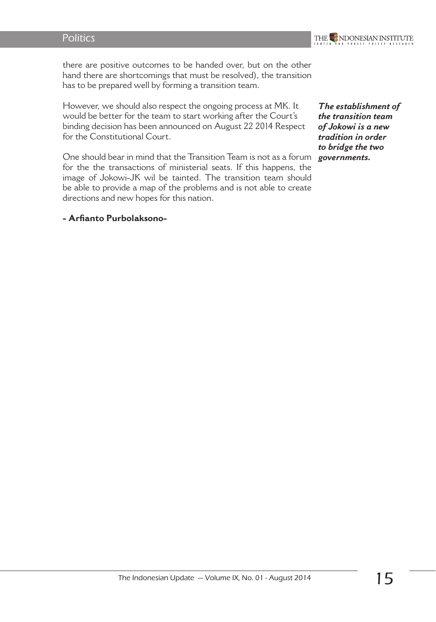

there are positive outcomes to be handed over, but on the other hand there are shortcomings that must be resolved), the transition has to be prepared well by forming a transition team.

However, we should also respect the ongoing process at MK. It would be better for the team to start working after the Court's binding decision has been announced on August 22 2014 Respect for the Constitutional Court.

One should bear in mind that the Transition Team is not as a forum for the the transactions of ministerial seats. If this happens, the image of Jokowi-JK wil be tainted. The transition team should be able to provide a map of the problems and is not able to create directions and new hopes for this nation.

#### **- Arfianto Purbolaksono-**

*The establishment of the transition team of Jokowi is a new tradition in order to bridge the two governments.*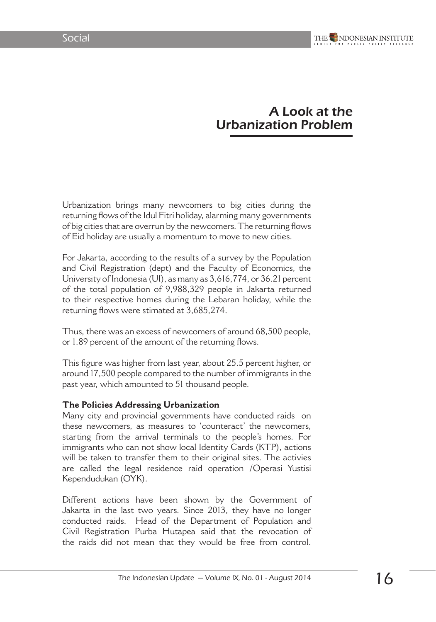# A Look at the Urbanization Problem

Urbanization brings many newcomers to big cities during the returning flows of the Idul Fitri holiday, alarming many governments of big cities that are overrun by the newcomers. The returning flows of Eid holiday are usually a momentum to move to new cities.

For Jakarta, according to the results of a survey by the Population and Civil Registration (dept) and the Faculty of Economics, the University of Indonesia (UI), as many as 3,616,774, or 36.21 percent of the total population of 9,988,329 people in Jakarta returned to their respective homes during the Lebaran holiday, while the returning flows were stimated at 3,685,274.

Thus, there was an excess of newcomers of around 68,500 people, or 1.89 percent of the amount of the returning flows.

This figure was higher from last year, about 25.5 percent higher, or around 17,500 people compared to the number of immigrants in the past year, which amounted to 51 thousand people.

#### **The Policies Addressing Urbanization**

Many city and provincial governments have conducted raids on these newcomers, as measures to 'counteract' the newcomers, starting from the arrival terminals to the people's homes. For immigrants who can not show local Identity Cards (KTP), actions will be taken to transfer them to their original sites. The activies are called the legal residence raid operation /Operasi Yustisi Kependudukan (OYK).

Different actions have been shown by the Government of Jakarta in the last two years. Since 2013, they have no longer conducted raids. Head of the Department of Population and Civil Registration Purba Hutapea said that the revocation of the raids did not mean that they would be free from control.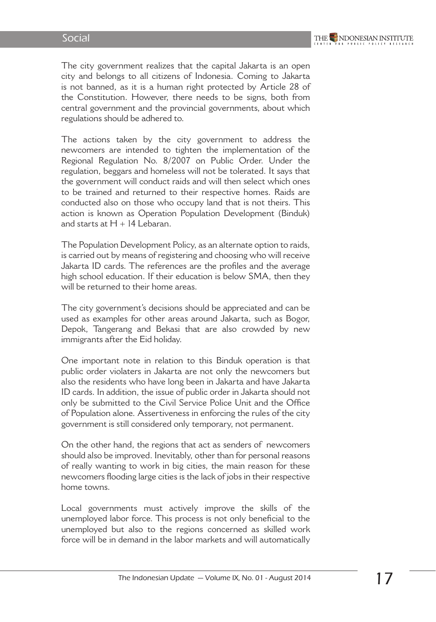The city government realizes that the capital Jakarta is an open city and belongs to all citizens of Indonesia. Coming to Jakarta is not banned, as it is a human right protected by Article 28 of the Constitution. However, there needs to be signs, both from central government and the provincial governments, about which regulations should be adhered to.

The actions taken by the city government to address the newcomers are intended to tighten the implementation of the Regional Regulation No. 8/2007 on Public Order. Under the regulation, beggars and homeless will not be tolerated. It says that the government will conduct raids and will then select which ones to be trained and returned to their respective homes. Raids are conducted also on those who occupy land that is not theirs. This action is known as Operation Population Development (Binduk) and starts at  $H + 14$  Lebaran.

The Population Development Policy, as an alternate option to raids, is carried out by means of registering and choosing who will receive Jakarta ID cards. The references are the profiles and the average high school education. If their education is below SMA, then they will be returned to their home areas.

The city government's decisions should be appreciated and can be used as examples for other areas around Jakarta, such as Bogor, Depok, Tangerang and Bekasi that are also crowded by new immigrants after the Eid holiday.

One important note in relation to this Binduk operation is that public order violaters in Jakarta are not only the newcomers but also the residents who have long been in Jakarta and have Jakarta ID cards. In addition, the issue of public order in Jakarta should not only be submitted to the Civil Service Police Unit and the Office of Population alone. Assertiveness in enforcing the rules of the city government is still considered only temporary, not permanent.

On the other hand, the regions that act as senders of newcomers should also be improved. Inevitably, other than for personal reasons of really wanting to work in big cities, the main reason for these newcomers flooding large cities is the lack of jobs in their respective home towns.

Local governments must actively improve the skills of the unemployed labor force. This process is not only beneficial to the unemployed but also to the regions concerned as skilled work force will be in demand in the labor markets and will automatically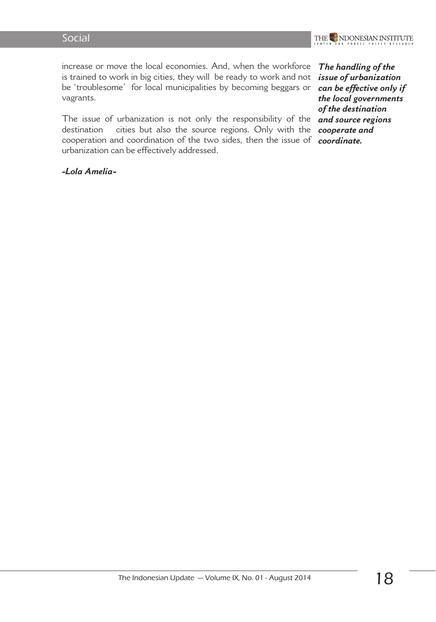

increase or move the local economies. And, when the workforce is trained to work in big cities, they will be ready to work and not be 'troublesome' for local municipalities by becoming beggars or vagrants.

The issue of urbanization is not only the responsibility of the destination cities but also the source regions. Only with the cooperation and coordination of the two sides, then the issue of *coordinate.*urbanization can be effectively addressed.

*-Lola Amelia-*

*The handling of the issue of urbanization can be effective only if the local governments of the destination and source regions cooperate and*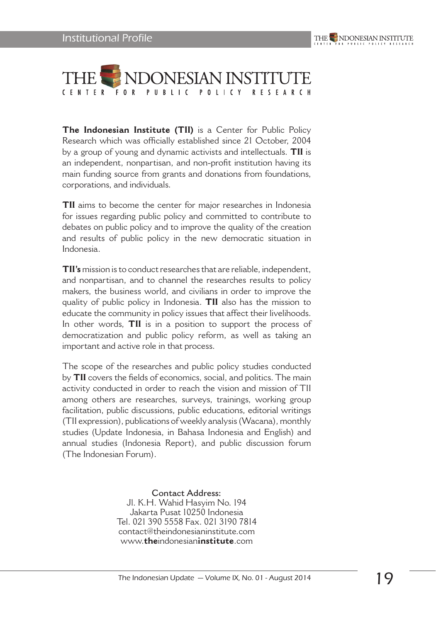

**The Indonesian Institute (TII)** is a Center for Public Policy Research which was officially established since 21 October, 2004 by a group of young and dynamic activists and intellectuals. **TII** is an independent, nonpartisan, and non-profit institution having its main funding source from grants and donations from foundations, corporations, and individuals.

**TII** aims to become the center for major researches in Indonesia for issues regarding public policy and committed to contribute to debates on public policy and to improve the quality of the creation and results of public policy in the new democratic situation in Indonesia.

**TII's** mission is to conduct researches that are reliable, independent, and nonpartisan, and to channel the researches results to policy makers, the business world, and civilians in order to improve the quality of public policy in Indonesia. **TII** also has the mission to educate the community in policy issues that affect their livelihoods. In other words, **TII** is in a position to support the process of democratization and public policy reform, as well as taking an important and active role in that process.

The scope of the researches and public policy studies conducted by **TII** covers the fields of economics, social, and politics. The main activity conducted in order to reach the vision and mission of TII among others are researches, surveys, trainings, working group facilitation, public discussions, public educations, editorial writings (TII expression), publications of weekly analysis (Wacana), monthly studies (Update Indonesia, in Bahasa Indonesia and English) and annual studies (Indonesia Report), and public discussion forum (The Indonesian Forum).

> **Contact Address:** Jl. K.H. Wahid Hasyim No. 194 Jakarta Pusat 10250 Indonesia Tel. 021 390 5558 Fax. 021 3190 7814 contact@theindonesianinstitute.com www.**the**indonesian**institute**.com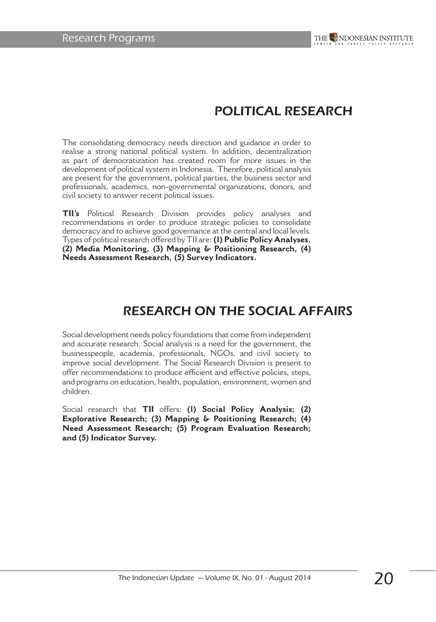# POLITICAL RESEARCH

The consolidating democracy needs direction and guidance in order to realise a strong national political system. In addition, decentralization as part of democratization has created room for more issues in the development of political system in Indonesia. Therefore, political analysis are present for the government, political parties, the business sector and professionals, academics, non-governmental organizations, donors, and civil society to answer recent political issues.

**TII's** Political Research Division provides policy analyses and recommendations in order to produce strategic policies to consolidate democracy and to achieve good governance at the central and local levels. Types of political research offered by TII are: **(1) Public Policy Analyses, (2) Media Monitoring, (3) Mapping & Positioning Research, (4) Needs Assessment Research, (5) Survey Indicators.** 

# RESEARCH ON THE SOCIAL AFFAIRS

Social development needs policy foundations that come from independent and accurate research. Social analysis is a need for the government, the businesspeople, academia, professionals, NGOs, and civil society to improve social development. The Social Research Division is present to offer recommendations to produce efficient and effective policies, steps, and programs on education, health, population, environment, women and children.

Social research that **TII** offers: **(1) Social Policy Analysis; (2) Explorative Research; (3) Mapping & Positioning Research; (4) Need Assessment Research; (5) Program Evaluation Research; and (5) Indicator Survey.**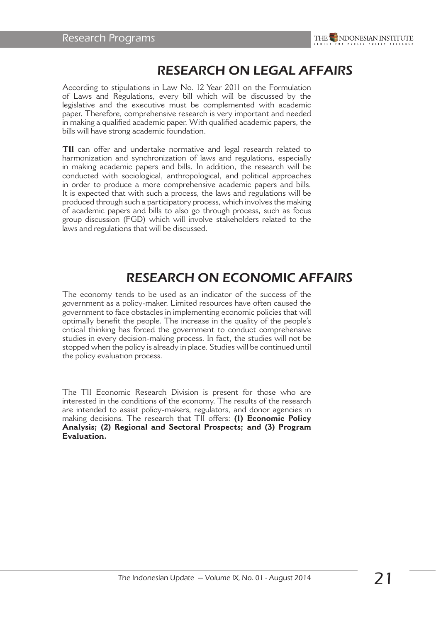

# RESEARCH ON LEGAL AFFAIRS

According to stipulations in Law No. 12 Year 2011 on the Formulation of Laws and Regulations, every bill which will be discussed by the legislative and the executive must be complemented with academic paper. Therefore, comprehensive research is very important and needed in making a qualified academic paper. With qualified academic papers, the bills will have strong academic foundation.

**TII** can offer and undertake normative and legal research related to harmonization and synchronization of laws and regulations, especially in making academic papers and bills. In addition, the research will be conducted with sociological, anthropological, and political approaches in order to produce a more comprehensive academic papers and bills. It is expected that with such a process, the laws and regulations will be produced through such a participatory process, which involves the making of academic papers and bills to also go through process, such as focus group discussion (FGD) which will involve stakeholders related to the laws and regulations that will be discussed.

# RESEARCH ON ECONOMIC AFFAIRS

The economy tends to be used as an indicator of the success of the government as a policy-maker. Limited resources have often caused the government to face obstacles in implementing economic policies that will optimally benefit the people. The increase in the quality of the people's critical thinking has forced the government to conduct comprehensive studies in every decision-making process. In fact, the studies will not be stopped when the policy is already in place. Studies will be continued until the policy evaluation process.

The TII Economic Research Division is present for those who are interested in the conditions of the economy. The results of the research are intended to assist policy-makers, regulators, and donor agencies in making decisions. The research that TII offers: **(1) Economic Policy Analysis; (2) Regional and Sectoral Prospects; and (3) Program Evaluation.**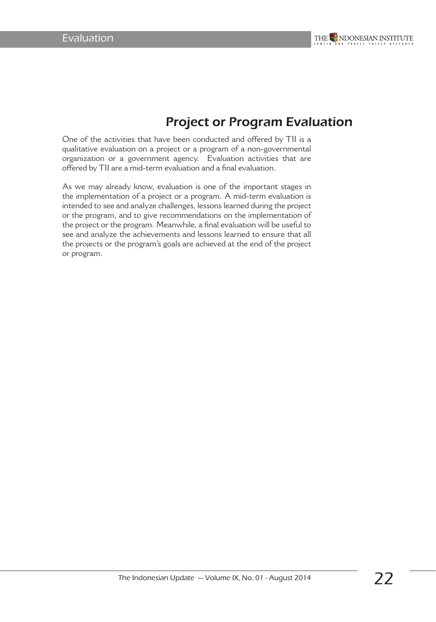# Project or Program Evaluation

One of the activities that have been conducted and offered by TII is a qualitative evaluation on a project or a program of a non-governmental organization or a government agency. Evaluation activities that are offered by TII are a mid-term evaluation and a final evaluation.

As we may already know, evaluation is one of the important stages in the implementation of a project or a program. A mid-term evaluation is intended to see and analyze challenges, lessons learned during the project or the program, and to give recommendations on the implementation of the project or the program. Meanwhile, a final evaluation will be useful to see and analyze the achievements and lessons learned to ensure that all the projects or the program's goals are achieved at the end of the project or program.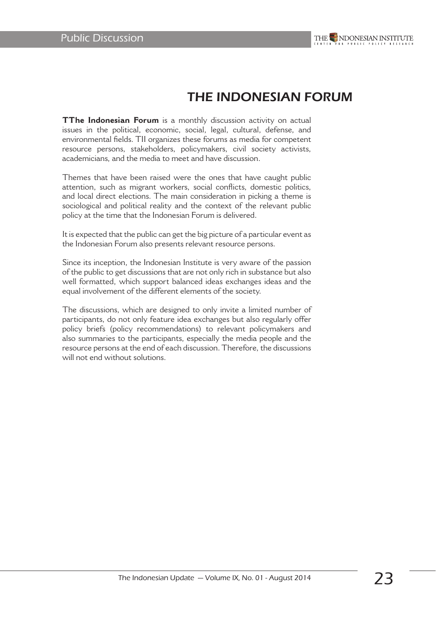

# THE INDONESIAN FORUM

**TThe Indonesian Forum** is a monthly discussion activity on actual issues in the political, economic, social, legal, cultural, defense, and environmental fields. TII organizes these forums as media for competent resource persons, stakeholders, policymakers, civil society activists, academicians, and the media to meet and have discussion.

Themes that have been raised were the ones that have caught public attention, such as migrant workers, social conflicts, domestic politics, and local direct elections. The main consideration in picking a theme is sociological and political reality and the context of the relevant public policy at the time that the Indonesian Forum is delivered.

It is expected that the public can get the big picture of a particular event as the Indonesian Forum also presents relevant resource persons.

Since its inception, the Indonesian Institute is very aware of the passion of the public to get discussions that are not only rich in substance but also well formatted, which support balanced ideas exchanges ideas and the equal involvement of the different elements of the society.

The discussions, which are designed to only invite a limited number of participants, do not only feature idea exchanges but also regularly offer policy briefs (policy recommendations) to relevant policymakers and also summaries to the participants, especially the media people and the resource persons at the end of each discussion. Therefore, the discussions will not end without solutions.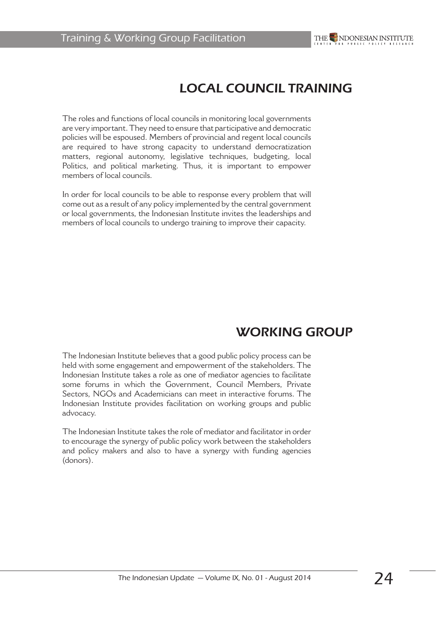# LOCAL COUNCIL TRAINING

The roles and functions of local councils in monitoring local governments are very important. They need to ensure that participative and democratic policies will be espoused. Members of provincial and regent local councils are required to have strong capacity to understand democratization matters, regional autonomy, legislative techniques, budgeting, local Politics, and political marketing. Thus, it is important to empower members of local councils.

In order for local councils to be able to response every problem that will come out as a result of any policy implemented by the central government or local governments, the Indonesian Institute invites the leaderships and members of local councils to undergo training to improve their capacity.

# WORKING GROUP

The Indonesian Institute believes that a good public policy process can be held with some engagement and empowerment of the stakeholders. The Indonesian Institute takes a role as one of mediator agencies to facilitate some forums in which the Government, Council Members, Private Sectors, NGOs and Academicians can meet in interactive forums. The Indonesian Institute provides facilitation on working groups and public advocacy.

The Indonesian Institute takes the role of mediator and facilitator in order to encourage the synergy of public policy work between the stakeholders and policy makers and also to have a synergy with funding agencies (donors).